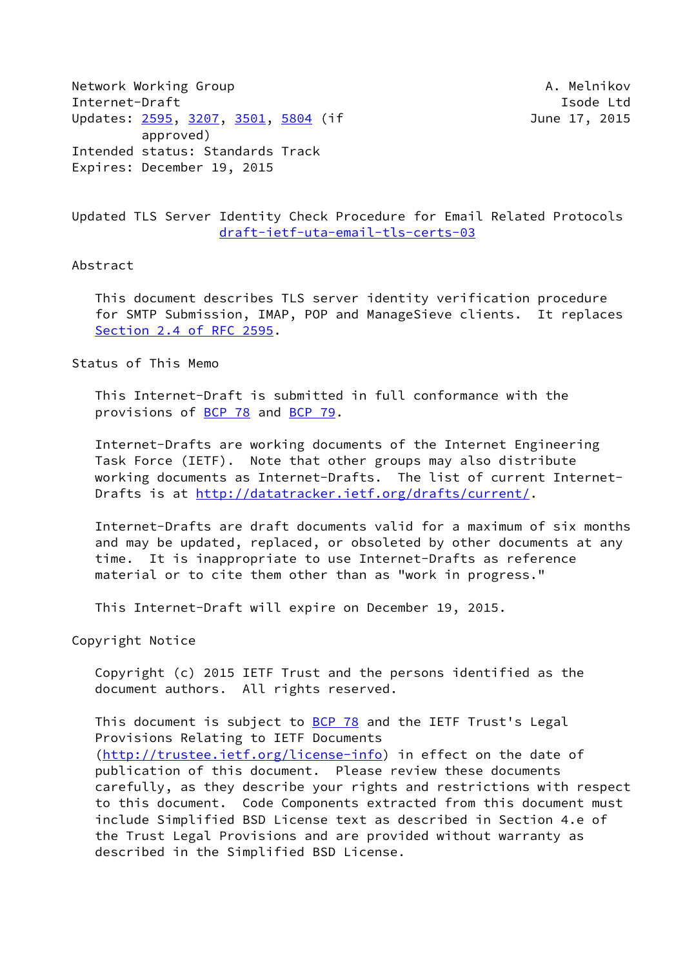Network Working Group **A. Melnikov** A. Melnikov Internet-Draft **Isolat Isom and Isom and Isolat Isolat Isolat Isolat Isolat Isolat Isolat Isolat Isolat Isolat Isolat Isolat Isolat Isolat Isolat Isolat Isolat Isolat Isolat Isolat Isolat Isolat Isolat Isolat Isolat Isolat** Updates: [2595](https://datatracker.ietf.org/doc/pdf/rfc2595), [3207,](https://datatracker.ietf.org/doc/pdf/rfc3207) [3501](https://datatracker.ietf.org/doc/pdf/rfc3501), [5804](https://datatracker.ietf.org/doc/pdf/rfc5804) (if June 17, 2015 approved) Intended status: Standards Track Expires: December 19, 2015

## Updated TLS Server Identity Check Procedure for Email Related Protocols [draft-ietf-uta-email-tls-certs-03](https://datatracker.ietf.org/doc/pdf/draft-ietf-uta-email-tls-certs-03)

#### Abstract

 This document describes TLS server identity verification procedure for SMTP Submission, IMAP, POP and ManageSieve clients. It replaces Section [2.4 of RFC 2595](https://datatracker.ietf.org/doc/pdf/rfc2595#section-2.4).

Status of This Memo

 This Internet-Draft is submitted in full conformance with the provisions of [BCP 78](https://datatracker.ietf.org/doc/pdf/bcp78) and [BCP 79](https://datatracker.ietf.org/doc/pdf/bcp79).

 Internet-Drafts are working documents of the Internet Engineering Task Force (IETF). Note that other groups may also distribute working documents as Internet-Drafts. The list of current Internet- Drafts is at<http://datatracker.ietf.org/drafts/current/>.

 Internet-Drafts are draft documents valid for a maximum of six months and may be updated, replaced, or obsoleted by other documents at any time. It is inappropriate to use Internet-Drafts as reference material or to cite them other than as "work in progress."

This Internet-Draft will expire on December 19, 2015.

Copyright Notice

 Copyright (c) 2015 IETF Trust and the persons identified as the document authors. All rights reserved.

This document is subject to **[BCP 78](https://datatracker.ietf.org/doc/pdf/bcp78)** and the IETF Trust's Legal Provisions Relating to IETF Documents [\(http://trustee.ietf.org/license-info](http://trustee.ietf.org/license-info)) in effect on the date of publication of this document. Please review these documents carefully, as they describe your rights and restrictions with respect to this document. Code Components extracted from this document must include Simplified BSD License text as described in Section 4.e of the Trust Legal Provisions and are provided without warranty as described in the Simplified BSD License.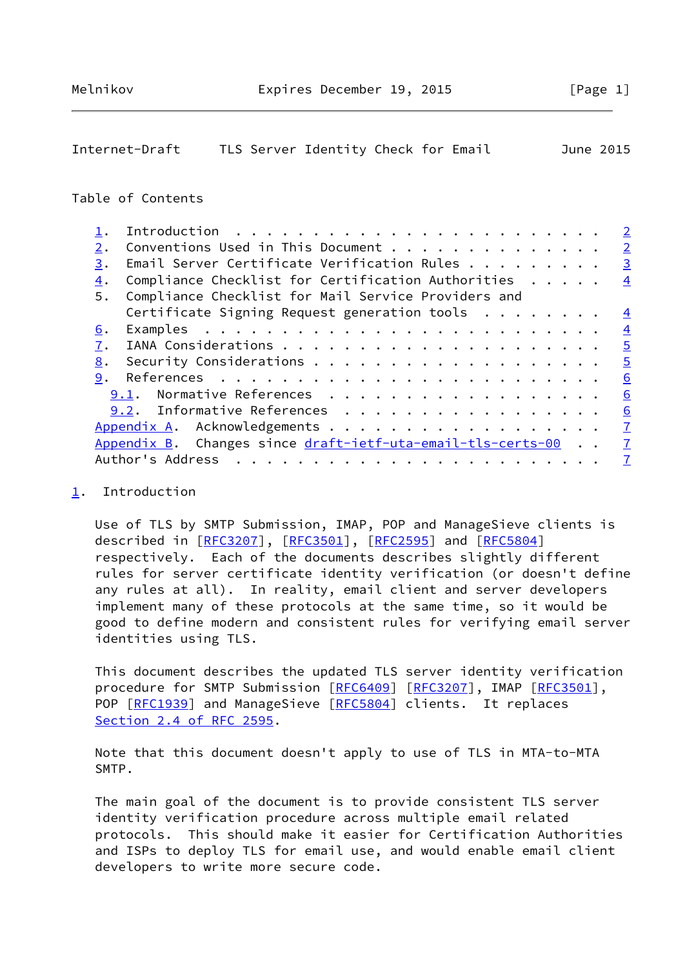# <span id="page-1-1"></span>Internet-Draft TLS Server Identity Check for Email June 2015

# Table of Contents

|    |                                                             | $\overline{2}$ |
|----|-------------------------------------------------------------|----------------|
| 2. | Conventions Used in This Document                           | $\overline{2}$ |
| 3. | Email Server Certificate Verification Rules                 | $\overline{3}$ |
| 4. | Compliance Checklist for Certification Authorities          | $\overline{4}$ |
| 5. | Compliance Checklist for Mail Service Providers and         |                |
|    | Certificate Signing Request generation tools $\dots \dots$  | $\overline{4}$ |
| 6. |                                                             | $\overline{4}$ |
| 7. |                                                             | $\overline{5}$ |
| 8. |                                                             | $\overline{5}$ |
| 9. |                                                             | 6              |
|    | Normative References<br>9.1.                                | 6              |
|    | 9.2. Informative References                                 | 6              |
|    |                                                             | $\overline{1}$ |
|    | Appendix B. Changes since draft-ietf-uta-email-tls-certs-00 | $\overline{1}$ |
|    | Author's Address<br>.                                       | $\overline{I}$ |
|    |                                                             |                |

## <span id="page-1-0"></span>[1](#page-1-0). Introduction

 Use of TLS by SMTP Submission, IMAP, POP and ManageSieve clients is described in [\[RFC3207](https://datatracker.ietf.org/doc/pdf/rfc3207)], [\[RFC3501](https://datatracker.ietf.org/doc/pdf/rfc3501)], [[RFC2595\]](https://datatracker.ietf.org/doc/pdf/rfc2595) and [\[RFC5804](https://datatracker.ietf.org/doc/pdf/rfc5804)] respectively. Each of the documents describes slightly different rules for server certificate identity verification (or doesn't define any rules at all). In reality, email client and server developers implement many of these protocols at the same time, so it would be good to define modern and consistent rules for verifying email server identities using TLS.

 This document describes the updated TLS server identity verification procedure for SMTP Submission [[RFC6409](https://datatracker.ietf.org/doc/pdf/rfc6409)] [\[RFC3207](https://datatracker.ietf.org/doc/pdf/rfc3207)], IMAP [\[RFC3501](https://datatracker.ietf.org/doc/pdf/rfc3501)], POP [\[RFC1939](https://datatracker.ietf.org/doc/pdf/rfc1939)] and ManageSieve [[RFC5804](https://datatracker.ietf.org/doc/pdf/rfc5804)] clients. It replaces Section [2.4 of RFC 2595](https://datatracker.ietf.org/doc/pdf/rfc2595#section-2.4).

 Note that this document doesn't apply to use of TLS in MTA-to-MTA SMTP.

 The main goal of the document is to provide consistent TLS server identity verification procedure across multiple email related protocols. This should make it easier for Certification Authorities and ISPs to deploy TLS for email use, and would enable email client developers to write more secure code.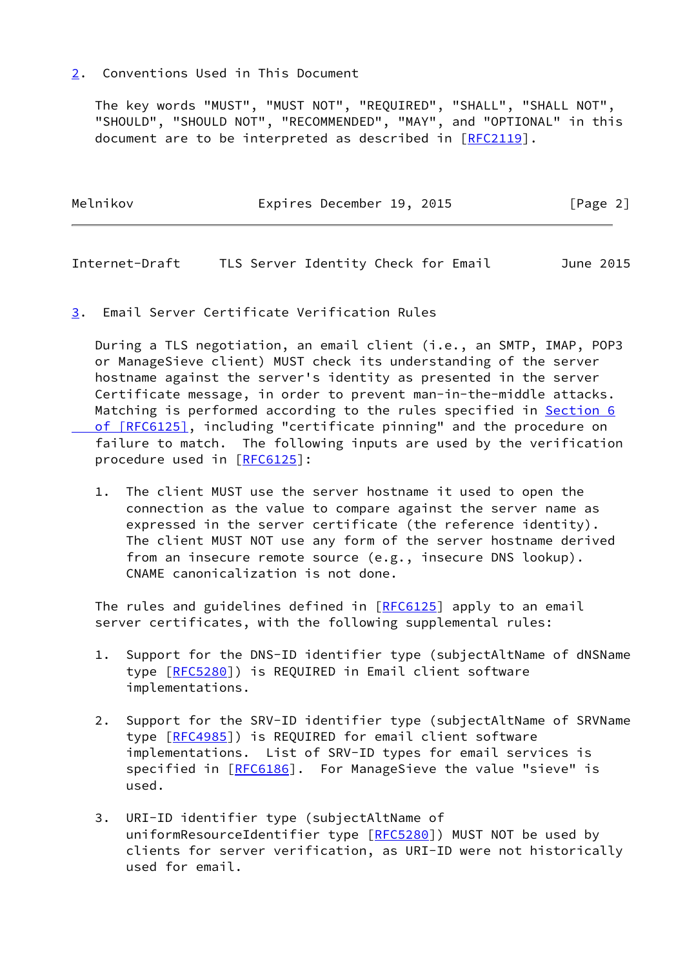## <span id="page-2-0"></span>[2](#page-2-0). Conventions Used in This Document

 The key words "MUST", "MUST NOT", "REQUIRED", "SHALL", "SHALL NOT", "SHOULD", "SHOULD NOT", "RECOMMENDED", "MAY", and "OPTIONAL" in this document are to be interpreted as described in [\[RFC2119](https://datatracker.ietf.org/doc/pdf/rfc2119)].

| Melnikov | Expires December 19, 2015 |  |  | [Page 2] |
|----------|---------------------------|--|--|----------|
|----------|---------------------------|--|--|----------|

<span id="page-2-2"></span>Internet-Draft TLS Server Identity Check for Email June 2015

<span id="page-2-1"></span>[3](#page-2-1). Email Server Certificate Verification Rules

 During a TLS negotiation, an email client (i.e., an SMTP, IMAP, POP3 or ManageSieve client) MUST check its understanding of the server hostname against the server's identity as presented in the server Certificate message, in order to prevent man-in-the-middle attacks. Matching is performed according to the rules specified in [Section](https://datatracker.ietf.org/doc/pdf/rfc6125#section-6) 6  [of \[RFC6125\]](https://datatracker.ietf.org/doc/pdf/rfc6125#section-6), including "certificate pinning" and the procedure on failure to match. The following inputs are used by the verification procedure used in [[RFC6125](https://datatracker.ietf.org/doc/pdf/rfc6125)]:

 1. The client MUST use the server hostname it used to open the connection as the value to compare against the server name as expressed in the server certificate (the reference identity). The client MUST NOT use any form of the server hostname derived from an insecure remote source (e.g., insecure DNS lookup). CNAME canonicalization is not done.

The rules and guidelines defined in [\[RFC6125](https://datatracker.ietf.org/doc/pdf/rfc6125)] apply to an email server certificates, with the following supplemental rules:

- 1. Support for the DNS-ID identifier type (subjectAltName of dNSName type [\[RFC5280](https://datatracker.ietf.org/doc/pdf/rfc5280)]) is REQUIRED in Email client software implementations.
- 2. Support for the SRV-ID identifier type (subjectAltName of SRVName type [\[RFC4985](https://datatracker.ietf.org/doc/pdf/rfc4985)]) is REQUIRED for email client software implementations. List of SRV-ID types for email services is specified in [\[RFC6186](https://datatracker.ietf.org/doc/pdf/rfc6186)]. For ManageSieve the value "sieve" is used.
- 3. URI-ID identifier type (subjectAltName of uniformResourceIdentifier type [[RFC5280\]](https://datatracker.ietf.org/doc/pdf/rfc5280)) MUST NOT be used by clients for server verification, as URI-ID were not historically used for email.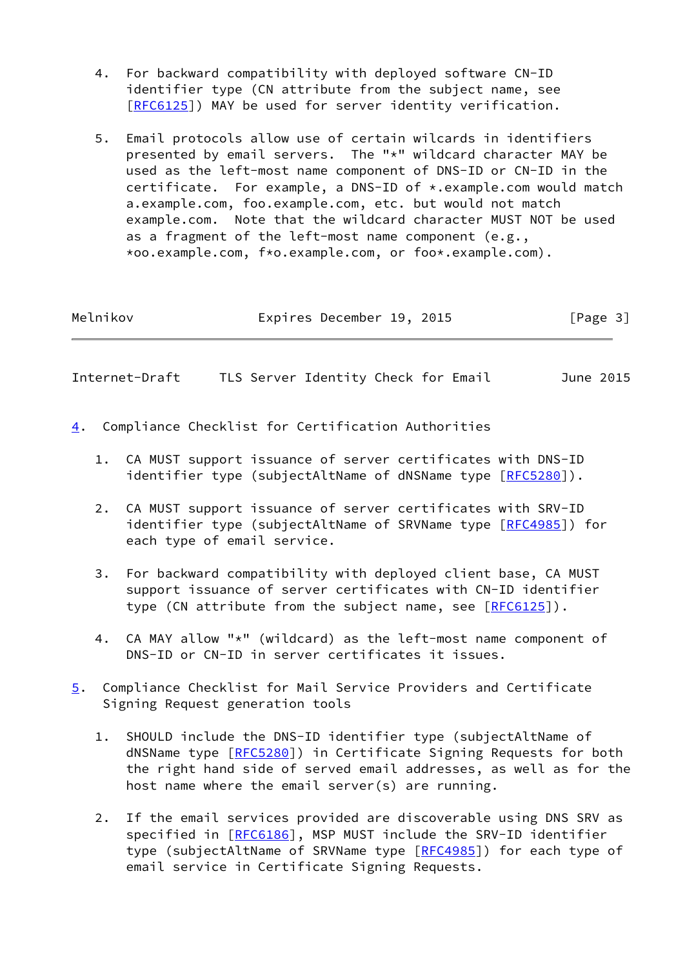- 4. For backward compatibility with deployed software CN-ID identifier type (CN attribute from the subject name, see [\[RFC6125](https://datatracker.ietf.org/doc/pdf/rfc6125)]) MAY be used for server identity verification.
- 5. Email protocols allow use of certain wilcards in identifiers presented by email servers. The "\*" wildcard character MAY be used as the left-most name component of DNS-ID or CN-ID in the certificate. For example, a DNS-ID of \*.example.com would match a.example.com, foo.example.com, etc. but would not match example.com. Note that the wildcard character MUST NOT be used as a fragment of the left-most name component (e.g., \*oo.example.com, f\*o.example.com, or foo\*.example.com).

Melnikov **Expires December 19, 2015** [Page 3]

<span id="page-3-1"></span>Internet-Draft TLS Server Identity Check for Email June 2015

- <span id="page-3-0"></span>[4](#page-3-0). Compliance Checklist for Certification Authorities
	- 1. CA MUST support issuance of server certificates with DNS-ID identifier type (subjectAltName of dNSName type [\[RFC5280](https://datatracker.ietf.org/doc/pdf/rfc5280)]).
	- 2. CA MUST support issuance of server certificates with SRV-ID identifier type (subjectAltName of SRVName type [\[RFC4985](https://datatracker.ietf.org/doc/pdf/rfc4985)]) for each type of email service.
	- 3. For backward compatibility with deployed client base, CA MUST support issuance of server certificates with CN-ID identifier type (CN attribute from the subject name, see [[RFC6125](https://datatracker.ietf.org/doc/pdf/rfc6125)]).
	- 4. CA MAY allow "\*" (wildcard) as the left-most name component of DNS-ID or CN-ID in server certificates it issues.
- <span id="page-3-2"></span>[5](#page-3-2). Compliance Checklist for Mail Service Providers and Certificate Signing Request generation tools
	- 1. SHOULD include the DNS-ID identifier type (subjectAltName of dNSName type [\[RFC5280](https://datatracker.ietf.org/doc/pdf/rfc5280)]) in Certificate Signing Requests for both the right hand side of served email addresses, as well as for the host name where the email server(s) are running.
	- 2. If the email services provided are discoverable using DNS SRV as specified in [\[RFC6186](https://datatracker.ietf.org/doc/pdf/rfc6186)], MSP MUST include the SRV-ID identifier type (subjectAltName of SRVName type [\[RFC4985](https://datatracker.ietf.org/doc/pdf/rfc4985)]) for each type of email service in Certificate Signing Requests.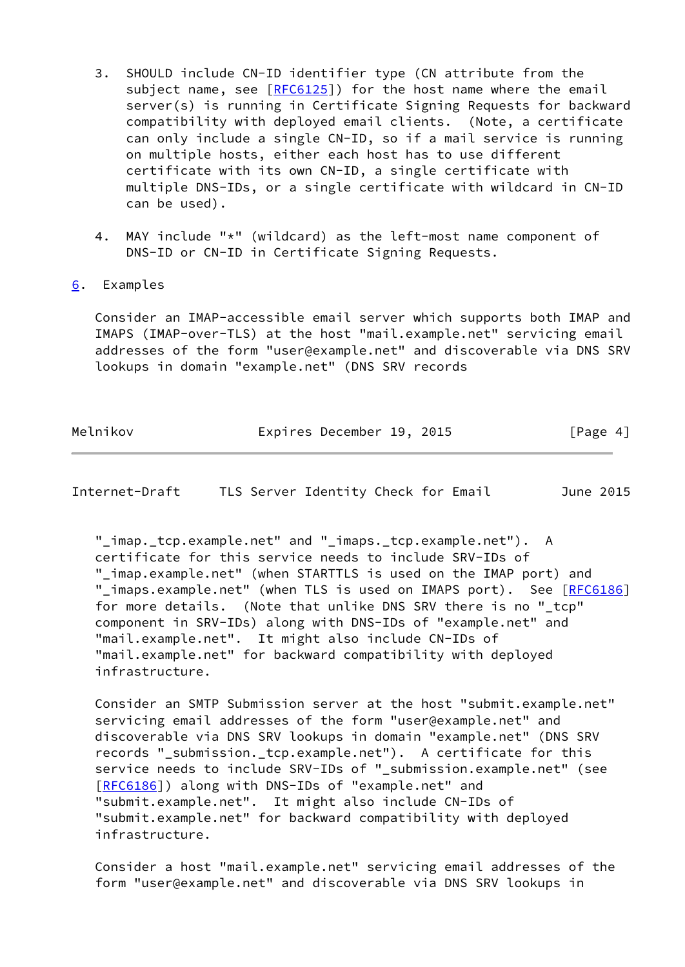- 3. SHOULD include CN-ID identifier type (CN attribute from the subject name, see  $[REG125]$ ) for the host name where the email server(s) is running in Certificate Signing Requests for backward compatibility with deployed email clients. (Note, a certificate can only include a single CN-ID, so if a mail service is running on multiple hosts, either each host has to use different certificate with its own CN-ID, a single certificate with multiple DNS-IDs, or a single certificate with wildcard in CN-ID can be used).
- 4. MAY include "\*" (wildcard) as the left-most name component of DNS-ID or CN-ID in Certificate Signing Requests.
- <span id="page-4-0"></span>[6](#page-4-0). Examples

 Consider an IMAP-accessible email server which supports both IMAP and IMAPS (IMAP-over-TLS) at the host "mail.example.net" servicing email addresses of the form "user@example.net" and discoverable via DNS SRV lookups in domain "example.net" (DNS SRV records

| Melnikov | Expires December 19, 2015 |  | [Page 4] |
|----------|---------------------------|--|----------|
|          |                           |  |          |

<span id="page-4-1"></span>Internet-Draft TLS Server Identity Check for Email June 2015

 "\_imap.\_tcp.example.net" and "\_imaps.\_tcp.example.net"). A certificate for this service needs to include SRV-IDs of "\_imap.example.net" (when STARTTLS is used on the IMAP port) and " imaps.example.net" (when TLS is used on IMAPS port). See [\[RFC6186](https://datatracker.ietf.org/doc/pdf/rfc6186)] for more details. (Note that unlike DNS SRV there is no "\_tcp" component in SRV-IDs) along with DNS-IDs of "example.net" and "mail.example.net". It might also include CN-IDs of "mail.example.net" for backward compatibility with deployed infrastructure.

 Consider an SMTP Submission server at the host "submit.example.net" servicing email addresses of the form "user@example.net" and discoverable via DNS SRV lookups in domain "example.net" (DNS SRV records "\_submission.\_tcp.example.net"). A certificate for this service needs to include SRV-IDs of "\_submission.example.net" (see [\[RFC6186](https://datatracker.ietf.org/doc/pdf/rfc6186)]) along with DNS-IDs of "example.net" and "submit.example.net". It might also include CN-IDs of "submit.example.net" for backward compatibility with deployed infrastructure.

 Consider a host "mail.example.net" servicing email addresses of the form "user@example.net" and discoverable via DNS SRV lookups in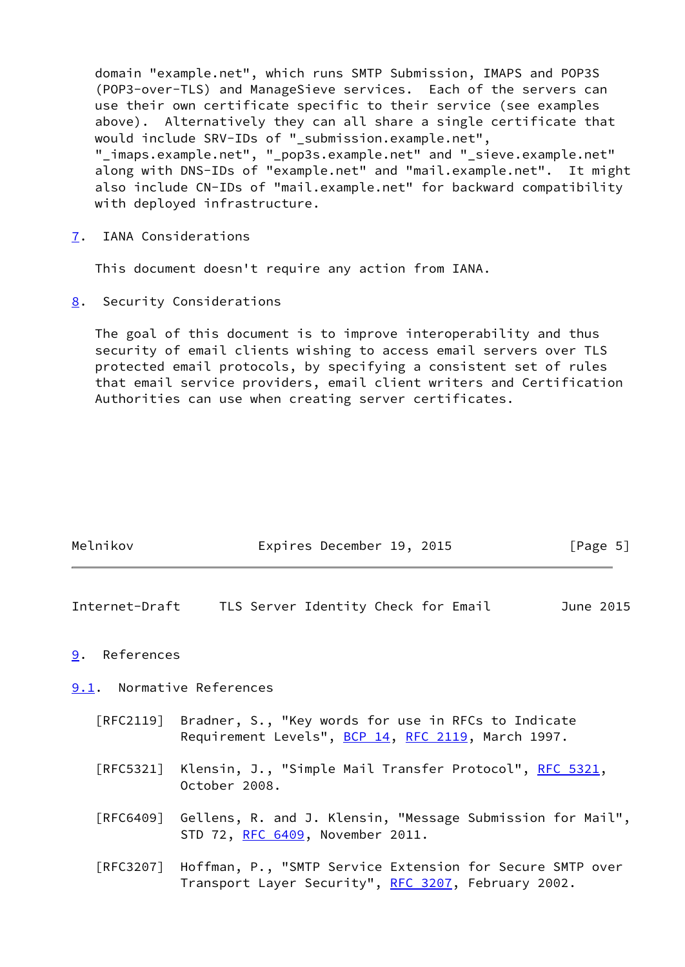domain "example.net", which runs SMTP Submission, IMAPS and POP3S (POP3-over-TLS) and ManageSieve services. Each of the servers can use their own certificate specific to their service (see examples above). Alternatively they can all share a single certificate that would include SRV-IDs of "\_submission.example.net", "\_imaps.example.net", "\_pop3s.example.net" and "\_sieve.example.net" along with DNS-IDs of "example.net" and "mail.example.net". It might also include CN-IDs of "mail.example.net" for backward compatibility with deployed infrastructure.

<span id="page-5-0"></span>[7](#page-5-0). IANA Considerations

This document doesn't require any action from IANA.

<span id="page-5-1"></span>[8](#page-5-1). Security Considerations

 The goal of this document is to improve interoperability and thus security of email clients wishing to access email servers over TLS protected email protocols, by specifying a consistent set of rules that email service providers, email client writers and Certification Authorities can use when creating server certificates.

| Melnikov | Expires December 19, 2015 | [Page 5] |
|----------|---------------------------|----------|
|          |                           |          |
|          |                           |          |

<span id="page-5-3"></span>Internet-Draft TLS Server Identity Check for Email June 2015

#### <span id="page-5-2"></span>[9](#page-5-2). References

<span id="page-5-4"></span>[9.1](#page-5-4). Normative References

- [RFC2119] Bradner, S., "Key words for use in RFCs to Indicate Requirement Levels", [BCP 14](https://datatracker.ietf.org/doc/pdf/bcp14), [RFC 2119](https://datatracker.ietf.org/doc/pdf/rfc2119), March 1997.
- [RFC5321] Klensin, J., "Simple Mail Transfer Protocol", [RFC 5321](https://datatracker.ietf.org/doc/pdf/rfc5321), October 2008.
- [RFC6409] Gellens, R. and J. Klensin, "Message Submission for Mail", STD 72, [RFC 6409,](https://datatracker.ietf.org/doc/pdf/rfc6409) November 2011.
- [RFC3207] Hoffman, P., "SMTP Service Extension for Secure SMTP over Transport Layer Security", [RFC 3207](https://datatracker.ietf.org/doc/pdf/rfc3207), February 2002.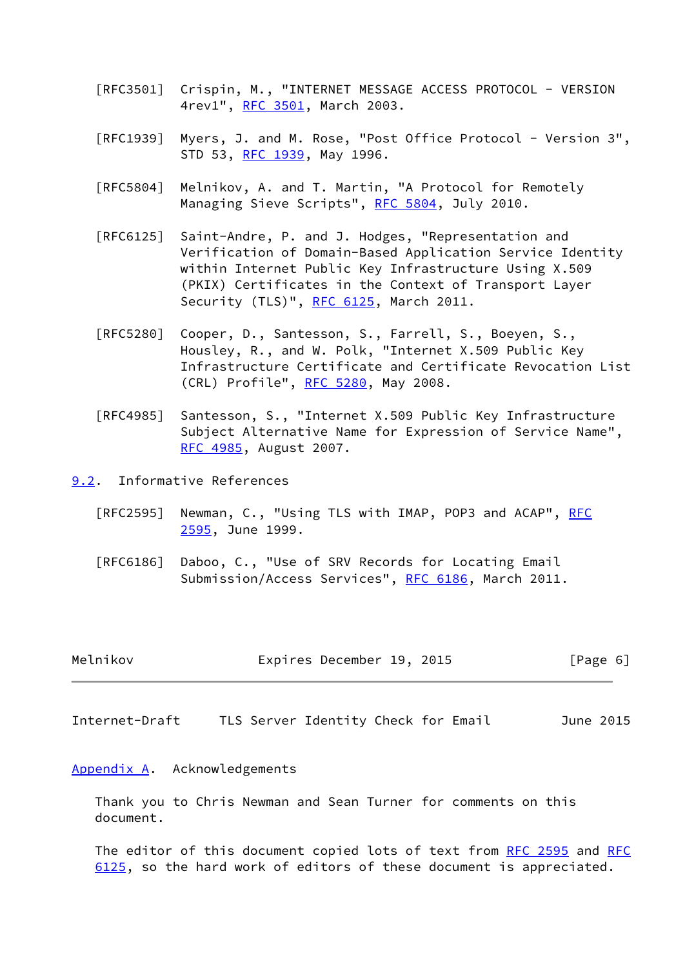- [RFC3501] Crispin, M., "INTERNET MESSAGE ACCESS PROTOCOL VERSION 4rev1", [RFC 3501,](https://datatracker.ietf.org/doc/pdf/rfc3501) March 2003.
- [RFC1939] Myers, J. and M. Rose, "Post Office Protocol Version 3", STD 53, [RFC 1939,](https://datatracker.ietf.org/doc/pdf/rfc1939) May 1996.
- [RFC5804] Melnikov, A. and T. Martin, "A Protocol for Remotely Managing Sieve Scripts", [RFC 5804,](https://datatracker.ietf.org/doc/pdf/rfc5804) July 2010.
- [RFC6125] Saint-Andre, P. and J. Hodges, "Representation and Verification of Domain-Based Application Service Identity within Internet Public Key Infrastructure Using X.509 (PKIX) Certificates in the Context of Transport Layer Security (TLS)", [RFC 6125,](https://datatracker.ietf.org/doc/pdf/rfc6125) March 2011.
- [RFC5280] Cooper, D., Santesson, S., Farrell, S., Boeyen, S., Housley, R., and W. Polk, "Internet X.509 Public Key Infrastructure Certificate and Certificate Revocation List (CRL) Profile", [RFC 5280,](https://datatracker.ietf.org/doc/pdf/rfc5280) May 2008.
- [RFC4985] Santesson, S., "Internet X.509 Public Key Infrastructure Subject Alternative Name for Expression of Service Name", [RFC 4985,](https://datatracker.ietf.org/doc/pdf/rfc4985) August 2007.
- <span id="page-6-0"></span>[9.2](#page-6-0). Informative References
	- [RFC2595] Newman, C., "Using TLS with IMAP, POP3 and ACAP", [RFC](https://datatracker.ietf.org/doc/pdf/rfc2595) [2595,](https://datatracker.ietf.org/doc/pdf/rfc2595) June 1999.
	- [RFC6186] Daboo, C., "Use of SRV Records for Locating Email Submission/Access Services", [RFC 6186](https://datatracker.ietf.org/doc/pdf/rfc6186), March 2011.

| Melnikov |  | Expires December 19, 2015 |  |  | [Page 6] |
|----------|--|---------------------------|--|--|----------|
|----------|--|---------------------------|--|--|----------|

<span id="page-6-2"></span>Internet-Draft TLS Server Identity Check for Email June 2015

#### <span id="page-6-1"></span>[Appendix A.](#page-6-1) Acknowledgements

 Thank you to Chris Newman and Sean Turner for comments on this document.

The editor of this document copied lots of text from [RFC 2595](https://datatracker.ietf.org/doc/pdf/rfc2595) and [RFC](https://datatracker.ietf.org/doc/pdf/rfc6125) [6125](https://datatracker.ietf.org/doc/pdf/rfc6125), so the hard work of editors of these document is appreciated.